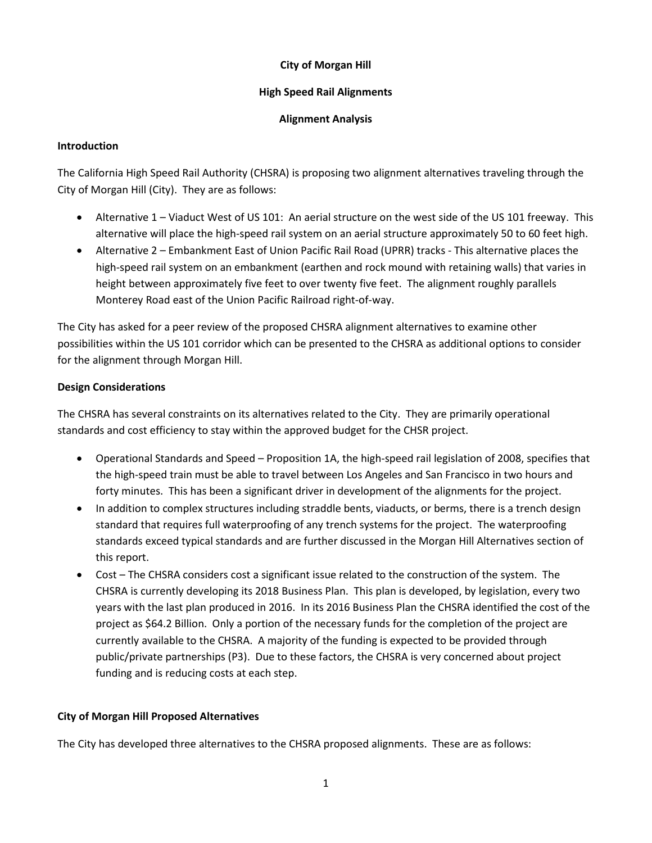## **City of Morgan Hill**

### **High Speed Rail Alignments**

#### **Alignment Analysis**

#### **Introduction**

The California High Speed Rail Authority (CHSRA) is proposing two alignment alternatives traveling through the City of Morgan Hill (City). They are as follows:

- Alternative 1 Viaduct West of US 101: An aerial structure on the west side of the US 101 freeway. This alternative will place the high-speed rail system on an aerial structure approximately 50 to 60 feet high.
- Alternative 2 Embankment East of Union Pacific Rail Road (UPRR) tracks This alternative places the high-speed rail system on an embankment (earthen and rock mound with retaining walls) that varies in height between approximately five feet to over twenty five feet. The alignment roughly parallels Monterey Road east of the Union Pacific Railroad right-of-way.

The City has asked for a peer review of the proposed CHSRA alignment alternatives to examine other possibilities within the US 101 corridor which can be presented to the CHSRA as additional options to consider for the alignment through Morgan Hill.

### **Design Considerations**

The CHSRA has several constraints on its alternatives related to the City. They are primarily operational standards and cost efficiency to stay within the approved budget for the CHSR project.

- Operational Standards and Speed Proposition 1A, the high-speed rail legislation of 2008, specifies that the high-speed train must be able to travel between Los Angeles and San Francisco in two hours and forty minutes. This has been a significant driver in development of the alignments for the project.
- In addition to complex structures including straddle bents, viaducts, or berms, there is a trench design standard that requires full waterproofing of any trench systems for the project. The waterproofing standards exceed typical standards and are further discussed in the Morgan Hill Alternatives section of this report.
- Cost The CHSRA considers cost a significant issue related to the construction of the system. The CHSRA is currently developing its 2018 Business Plan. This plan is developed, by legislation, every two years with the last plan produced in 2016. In its 2016 Business Plan the CHSRA identified the cost of the project as \$64.2 Billion. Only a portion of the necessary funds for the completion of the project are currently available to the CHSRA. A majority of the funding is expected to be provided through public/private partnerships (P3). Due to these factors, the CHSRA is very concerned about project funding and is reducing costs at each step.

# **City of Morgan Hill Proposed Alternatives**

The City has developed three alternatives to the CHSRA proposed alignments. These are as follows: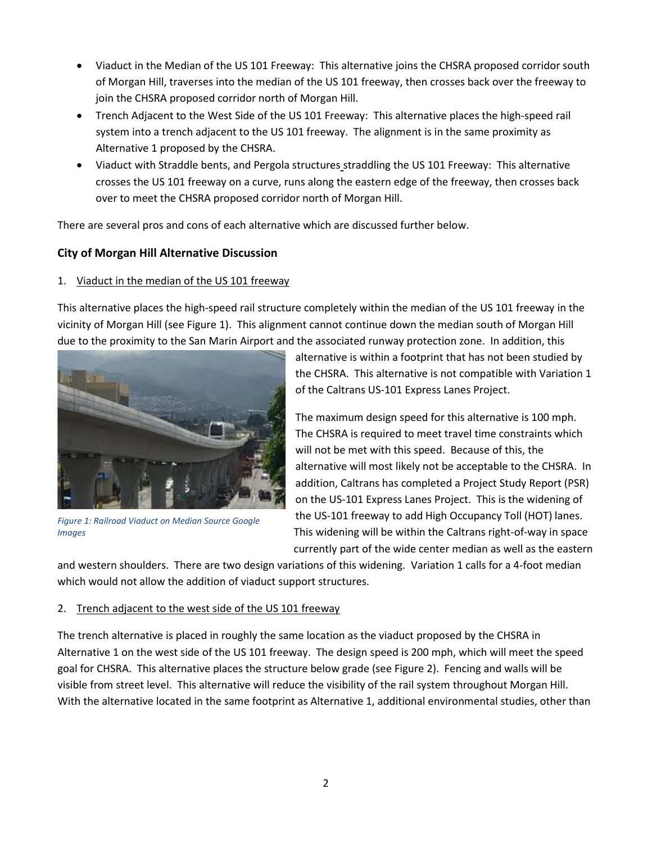- Viaduct in the Median of the US 101 Freeway: This alternative joins the CHSRA proposed corridor south of Morgan Hill, traverses into the median of the US 101 freeway, then crosses back over the freeway to join the CHSRA proposed corridor north of Morgan Hill.
- Trench Adjacent to the West Side of the US 101 Freeway: This alternative places the high-speed rail system into a trench adjacent to the US 101 freeway. The alignment is in the same proximity as Alternative 1 proposed by the CHSRA.
- Viaduct with Straddle bents, and Pergola structures straddling the US 101 Freeway: This alternative crosses the US 101 freeway on a curve, runs along the eastern edge of the freeway, then crosses back over to meet the CHSRA proposed corridor north of Morgan Hill.

There are several pros and cons of each alternative which are discussed further below.

# **City of Morgan Hill Alternative Discussion**

# 1. Viaduct in the median of the US 101 freeway

This alternative places the high-speed rail structure completely within the median of the US 101 freeway in the vicinity of Morgan Hill (se[e Figure 1\)](#page-1-0). This alignment cannot continue down the median south of Morgan Hill due to the proximity to the San Marin Airport and the associated runway protection zone. In addition, this



*Figure 1: Railroad Viaduct on Median Source Google Images*

alternative is within a footprint that has not been studied by the CHSRA. This alternative is not compatible with Variation 1 of the Caltrans US-101 Express Lanes Project.

The maximum design speed for this alternative is 100 mph. The CHSRA is required to meet travel time constraints which will not be met with this speed. Because of this, the alternative will most likely not be acceptable to the CHSRA. In addition, Caltrans has completed a Project Study Report (PSR) on the US-101 Express Lanes Project. This is the widening of the US-101 freeway to add High Occupancy Toll (HOT) lanes. This widening will be within the Caltrans right-of-way in space currently part of the wide center median as well as the eastern

<span id="page-1-0"></span>and western shoulders. There are two design variations of this widening. Variation 1 calls for a 4-foot median which would not allow the addition of viaduct support structures.

# 2. Trench adjacent to the west side of the US 101 freeway

The trench alternative is placed in roughly the same location as the viaduct proposed by the CHSRA in Alternative 1 on the west side of the US 101 freeway. The design speed is 200 mph, which will meet the speed goal for CHSRA. This alternative places the structure below grade (se[e Figure 2\)](#page-2-0). Fencing and walls will be visible from street level. This alternative will reduce the visibility of the rail system throughout Morgan Hill. With the alternative located in the same footprint as Alternative 1, additional environmental studies, other than